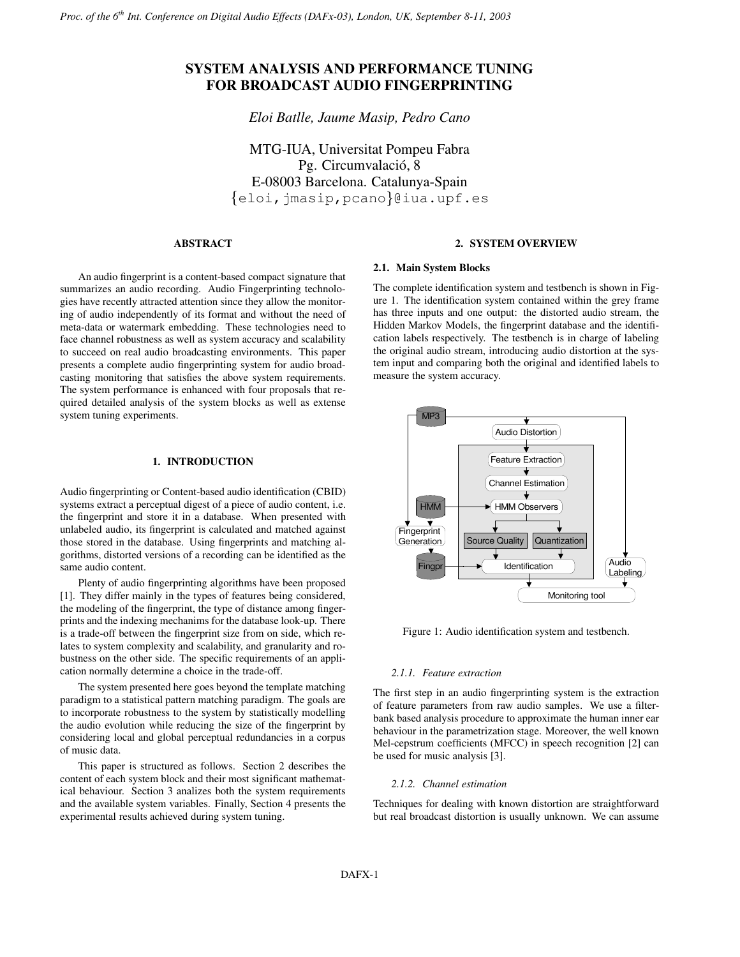# **SYSTEM ANALYSIS AND PERFORMANCE TUNING FOR BROADCAST AUDIO FINGERPRINTING**

*Eloi Batlle, Jaume Masip, Pedro Cano*

MTG-IUA, Universitat Pompeu Fabra Pg. Circumvalació, 8 E-08003 Barcelona. Catalunya-Spain  $\{\texttt{eloi},\texttt{jmasip},\texttt{pcano}\}$ @iua.upf.es

# **ABSTRACT**

An audio fingerprint is a content-based compact signature that summarizes an audio recording. Audio Fingerprinting technologies have recently attracted attention since they allow the monitoring of audio independently of its format and without the need of meta-data or watermark embedding. These technologies need to face channel robustness as well as system accuracy and scalability to succeed on real audio broadcasting environments. This paper presents a complete audio fingerprinting system for audio broadcasting monitoring that satisfies the above system requirements. The system performance is enhanced with four proposals that required detailed analysis of the system blocks as well as extense system tuning experiments.

### **1. INTRODUCTION**

Audio fingerprinting or Content-based audio identification (CBID) systems extract a perceptual digest of a piece of audio content, i.e. the fingerprint and store it in a database. When presented with unlabeled audio, its fingerprint is calculated and matched against those stored in the database. Using fingerprints and matching algorithms, distorted versions of a recording can be identified as the same audio content.

Plenty of audio fingerprinting algorithms have been proposed [1]. They differ mainly in the types of features being considered, the modeling of the fingerprint, the type of distance among fingerprints and the indexing mechanims for the database look-up. There is a trade-off between the fingerprint size from on side, which relates to system complexity and scalability, and granularity and robustness on the other side. The specific requirements of an application normally determine a choice in the trade-off.

The system presented here goes beyond the template matching paradigm to a statistical pattern matching paradigm. The goals are to incorporate robustness to the system by statistically modelling the audio evolution while reducing the size of the fingerprint by considering local and global perceptual redundancies in a corpus of music data.

This paper is structured as follows. Section 2 describes the content of each system block and their most significant mathematical behaviour. Section 3 analizes both the system requirements and the available system variables. Finally, Section 4 presents the experimental results achieved during system tuning.

# **2. SYSTEM OVERVIEW**

# **2.1. Main System Blocks**

The complete identification system and testbench is shown in Figure 1. The identification system contained within the grey frame has three inputs and one output: the distorted audio stream, the Hidden Markov Models, the fingerprint database and the identification labels respectively. The testbench is in charge of labeling the original audio stream, introducing audio distortion at the system input and comparing both the original and identified labels to measure the system accuracy.



Figure 1: Audio identification system and testbench.

#### *2.1.1. Feature extraction*

The first step in an audio fingerprinting system is the extraction of feature parameters from raw audio samples. We use a filterbank based analysis procedure to approximate the human inner ear behaviour in the parametrization stage. Moreover, the well known Mel-cepstrum coefficients (MFCC) in speech recognition [2] can be used for music analysis [3].

#### *2.1.2. Channel estimation*

Techniques for dealing with known distortion are straightforward but real broadcast distortion is usually unknown. We can assume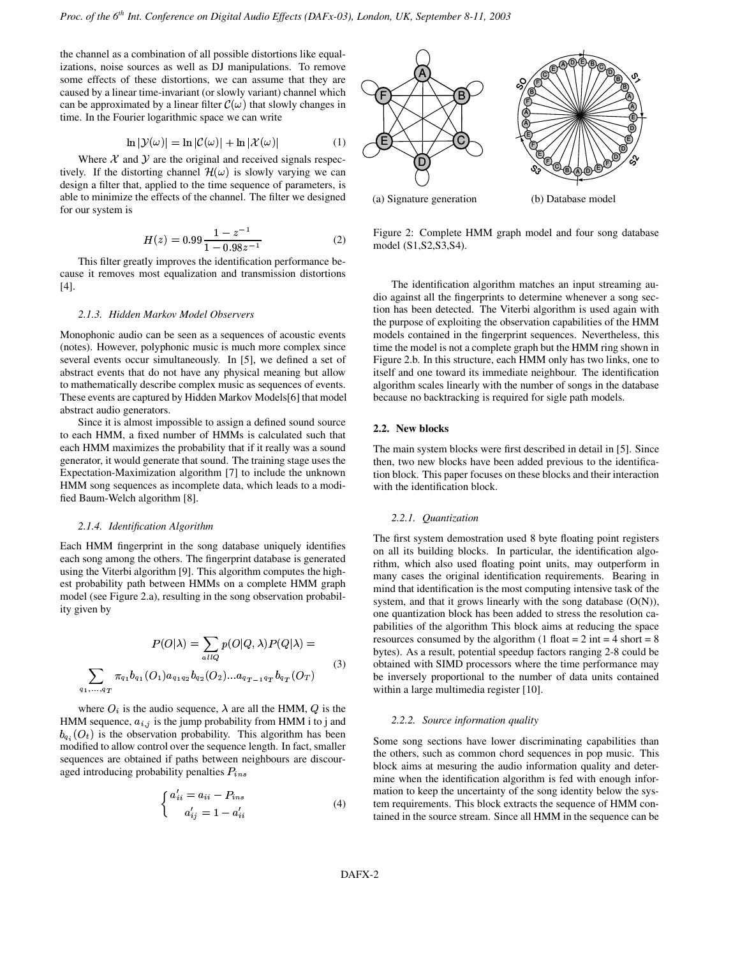the channel as a combination of all possible distortions like equalizations, noise sources as well as DJ manipulations. To remove some effects of these distortions, we can assume that they are caused by a linear time-invariant (or slowly variant) channel which can be approximated by a linear filter  $\mathcal{C}(\omega)$  that slowly changes in time. In the Fourier logarithmic space we can write

$$
\ln |\mathcal{Y}(\omega)| = \ln |\mathcal{C}(\omega)| + \ln |\mathcal{X}(\omega)| \tag{1}
$$

Where  $X$  and  $Y$  are the original and received signals respectively. If the distorting channel  $\mathcal{H}(\omega)$  is slowly varying we can design a filter that, applied to the time sequence of parameters, is able to minimize the effects of the channel. The filter we designed for our system is

$$
H(z) = 0.99 \frac{1 - z^{-1}}{1 - 0.98z^{-1}}
$$
 (2)

This filter greatly improves the identification performance because it removes most equalization and transmission distortions [4].

#### *2.1.3. Hidden Markov Model Observers*

Monophonic audio can be seen as a sequences of acoustic events (notes). However, polyphonic music is much more complex since several events occur simultaneously. In [5], we defined a set of abstract events that do not have any physical meaning but allow to mathematically describe complex music as sequences of events. These events are captured by Hidden Markov Models[6] that model abstract audio generators.

Since it is almost impossible to assign a defined sound source to each HMM, a fixed number of HMMs is calculated such that each HMM maximizes the probability that if it really was a sound generator, it would generate that sound. The training stage uses the Expectation-Maximization algorithm [7] to include the unknown HMM song sequences as incomplete data, which leads to a modified Baum-Welch algorithm [8].

#### *2.1.4. Identification Algorithm*

Each HMM fingerprint in the song database uniquely identifies each song among the others. The fingerprint database is generated using the Viterbi algorithm [9]. This algorithm computes the highest probability path between HMMs on a complete HMM graph model (see Figure 2.a), resulting in the song observation probability given by

$$
P(O|\lambda) = \sum_{allQ} p(O|Q, \lambda) P(Q|\lambda) = \begin{cases} \text{re} \\ \text{by} \\ \text{by} \end{cases}
$$
  

$$
\sum_{q_1, \dots, q_T} \pi_{q_1} b_{q_1}(O_1) a_{q_1 q_2} b_{q_2}(O_2) \dots a_{q_{T-1} q_T} b_{q_T}(O_T) \qquad \text{(3)}
$$

where  $O_i$  is the audio sequence,  $\lambda$  are all the HMM,  $Q$  is the HMM sequence,  $a_{i,j}$  is the jump probability from HMM i to j and  $b_{q_i}(O_t)$  is the observation probability. This algorithm has been modified to allow control over the sequence length. In fact, smaller sequences are obtained if paths between neighbours are discouraged introducing probability penalties  $P_{ins}$ 

$$
\begin{cases}\n a'_{ii} = a_{ii} - P_{ins} \\
a'_{ij} = 1 - a'_{ii}\n\end{cases}
$$
\n(4)



Figure 2: Complete HMM graph model and four song database model (S1,S2,S3,S4).

The identification algorithm matches an input streaming audio against all the fingerprints to determine whenever a song section has been detected. The Viterbi algorithm is used again with the purpose of exploiting the observation capabilities of the HMM models contained in the fingerprint sequences. Nevertheless, this time the model is not a complete graph but the HMM ring shown in Figure 2.b. In this structure, each HMM only has two links, one to itself and one toward its immediate neighbour. The identification algorithm scales linearly with the number of songs in the database because no backtracking is required for sigle path models.

### **2.2. New blocks**

The main system blocks were first described in detail in [5]. Since then, two new blocks have been added previous to the identification block. This paper focuses on these blocks and their interaction with the identification block.

#### *2.2.1. Quantization*

The first system demostration used 8 byte floating point registers on all its building blocks. In particular, the identification algorithm, which also used floating point units, may outperform in many cases the original identification requirements. Bearing in mind that identification is the most computing intensive task of the system, and that it grows linearly with the song database  $(O(N))$ , one quantization block has been added to stress the resolution capabilities of the algorithm This block aims at reducing the space resources consumed by the algorithm (1 float  $= 2$  int  $= 4$  short  $= 8$ bytes). As a result, potential speedup factors ranging 2-8 could be obtained with SIMD processors where the time performance may be inversely proportional to the number of data units contained within a large multimedia register [10].

#### *2.2.2. Source information quality*

Some song sections have lower discriminating capabilities than the others, such as common chord sequences in pop music. This block aims at mesuring the audio information quality and determine when the identification algorithm is fed with enough information to keep the uncertainty of the song identity below the system requirements. This block extracts the sequence of HMM contained in the source stream. Since all HMM in the sequence can be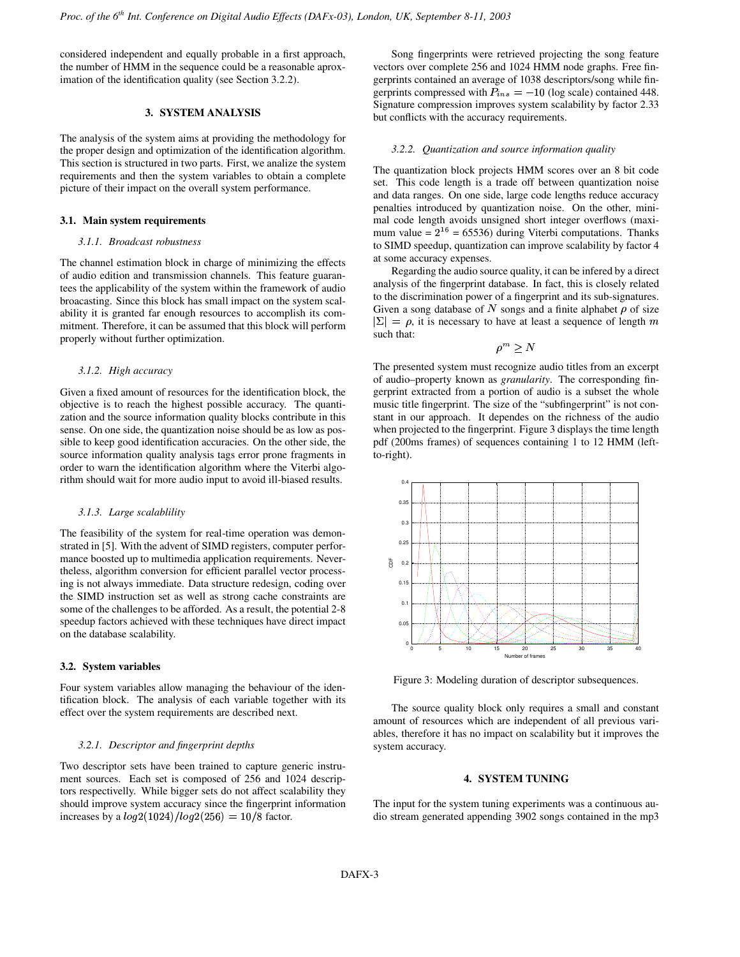considered independent and equally probable in a first approach, the number of HMM in the sequence could be a reasonable aproximation of the identification quality (see Section 3.2.2).

# **3. SYSTEM ANALYSIS**

The analysis of the system aims at providing the methodology for the proper design and optimization of the identification algorithm. This section is structured in two parts. First, we analize the system requirements and then the system variables to obtain a complete picture of their impact on the overall system performance.

# **3.1. Main system requirements**

#### *3.1.1. Broadcast robustness*

The channel estimation block in charge of minimizing the effects of audio edition and transmission channels. This feature guarantees the applicability of the system within the framework of audio broacasting. Since this block has small impact on the system scalability it is granted far enough resources to accomplish its commitment. Therefore, it can be assumed that this block will perform properly without further optimization.

# *3.1.2. High accuracy*

Given a fixed amount of resources for the identification block, the objective is to reach the highest possible accuracy. The quantization and the source information quality blocks contribute in this sense. On one side, the quantization noise should be as low as possible to keep good identification accuracies. On the other side, the source information quality analysis tags error prone fragments in order to warn the identification algorithm where the Viterbi algorithm should wait for more audio input to avoid ill-biased results.

#### *3.1.3. Large scalablility*

The feasibility of the system for real-time operation was demonstrated in [5]. With the advent of SIMD registers, computer performance boosted up to multimedia application requirements. Nevertheless, algorithm conversion for efficient parallel vector processing is not always immediate. Data structure redesign, coding over the SIMD instruction set as well as strong cache constraints are some of the challenges to be afforded. As a result, the potential 2-8 speedup factors achieved with these techniques have direct impact on the database scalability.

### **3.2. System variables**

Four system variables allow managing the behaviour of the identification block. The analysis of each variable together with its effect over the system requirements are described next.

#### *3.2.1. Descriptor and fingerprint depths*

Two descriptor sets have been trained to capture generic instrument sources. Each set is composed of 256 and 1024 descriptors respectivelly. While bigger sets do not affect scalability they should improve system accuracy since the fingerprint information increases by a  $log 2(1024) / log 2(256) = 10/8$  factor.

Song fingerprints were retrieved projecting the song feature vectors over complete 256 and 1024 HMM node graphs. Free fingerprints contained an average of 1038 descriptors/song while fingerprints compressed with  $P_{ins} = -10$  (log scale) contained 448. Signature compression improves system scalability by factor 2.33 but conflicts with the accuracy requirements.

#### *3.2.2. Quantization and source information quality*

The quantization block projects HMM scores over an 8 bit code set. This code length is a trade off between quantization noise and data ranges. On one side, large code lengths reduce accuracy penalties introduced by quantization noise. On the other, minimal code length avoids unsigned short integer overflows (maximum value =  $2^{16}$  = 65536) during Viterbi computations. Thanks to SIMD speedup, quantization can improve scalability by factor 4 at some accuracy expenses.

Regarding the audio source quality, it can be infered by a direct analysis of the fingerprint database. In fact, this is closely related to the discrimination power of a fingerprint and its sub-signatures. Given a song database of N songs and a finite alphabet  $\rho$  of size  $|\Sigma| = \rho$ , it is necessary to have at least a sequence of length m such that:

$$
\rho^m \geq N
$$

The presented system must recognize audio titles from an excerpt of audio–property known as *granularity*. The corresponding fingerprint extracted from a portion of audio is a subset the whole music title fingerprint. The size of the "subfingerprint" is not constant in our approach. It dependes on the richness of the audio when projected to the fingerprint. Figure 3 displays the time length pdf (200ms frames) of sequences containing 1 to 12 HMM (leftto-right).



Figure 3: Modeling duration of descriptor subsequences.

The source quality block only requires a small and constant amount of resources which are independent of all previous variables, therefore it has no impact on scalability but it improves the system accuracy.

# **4. SYSTEM TUNING**

The input for the system tuning experiments was a continuous audio stream generated appending 3902 songs contained in the mp3